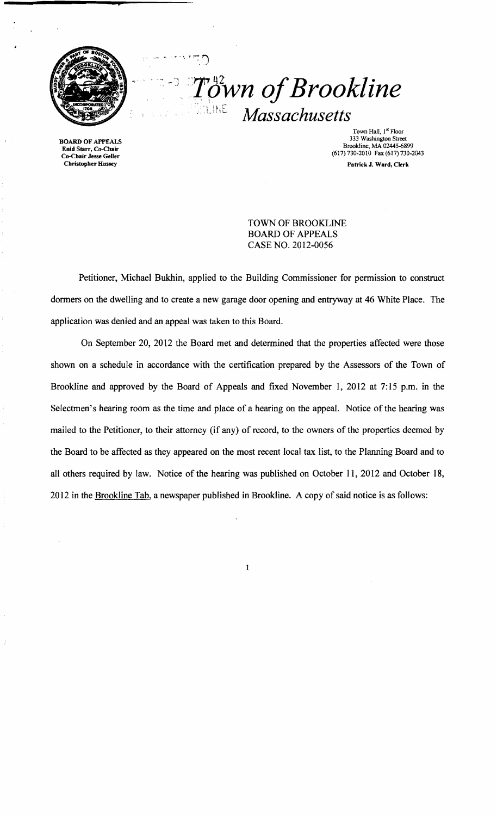

·1

 $\ddot{\rho}$ <sup>u2</sup>wn of Brookline ,!.liiL *Massachusetts* 

Town Hall, 1<sup>\*</sup> Floor<br>333 Washington Street BOARD OF APPEALS 333 Washington Street Brookline, MA 02445-6899<br>
Enid Starr, Co-Chair<br>
Co-Chair Jesse Geller (617)730-2010 Fax (617)730-2043<br>
Christopher Hussey Patrick J. Ward, Clerk Patrick J. Ward, Clerk

> TOWN OF BROOKLINE BOARD OF APPEALS CASE NO. 2012-0056

Petitioner, Michael Bukhin, applied to the Building Commissioner for permission to construct dormers on the dwelling and to create a new garage door opening and entryway at 46 White Place. The application was denied and an appeal was taken to this Board.

On September 20, 2012 the Board met and determined that the properties affected were those shown on a schedule in accordance with the certification prepared by the Assessors of the Town of Brookline and approved by the Board of Appeals and fixed November 1, 2012 at 7:15 p.m. in the Selectmen's hearing room as the time and place of a hearing on the appeal. Notice of the hearing was mailed to the Petitioner, to their attorney (if any) of record, to the owners of the properties deemed by the Board to be affected as they appeared on the most recent local tax list, to the Planning Board and to all others required by law. Notice of the hearing was published on October 11,2012 and October 18, 2012 in the Brookline Tab, a newspaper published in Brookline. A copy of said notice is as follows:

 $\mathbf{1}$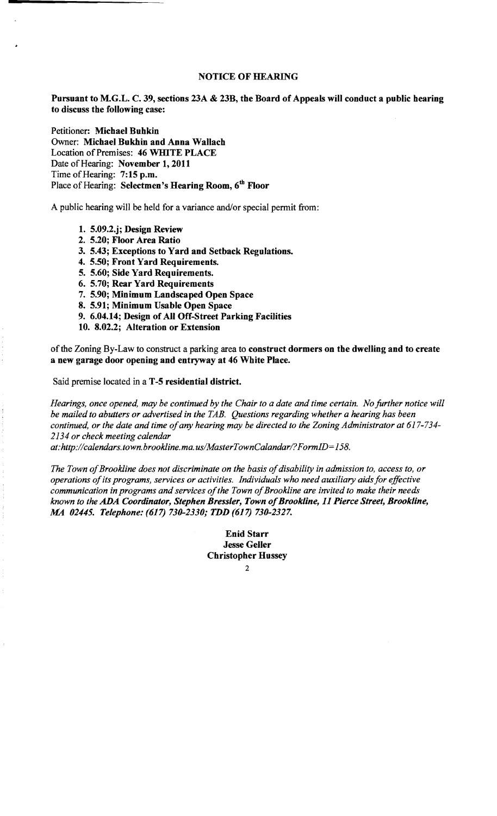## NOTICE OF HEARING

Pursuant to M.G.L. C. 39, sections 23A & 23B, the Board of Appeals will conduct a public hearing to discuss the following case:

Petitioner: Michael Buhkin Owner: Michael Bukhin and Anna Wallach Location of Premises: 46 WHITE PLACE Date of Hearing: November 1, 2011 Time of Hearing: 7:15 p.m. Place of Hearing: Selectmen's Hearing Room, 6<sup>th</sup> Floor

A public hearing will be held for a variance and/or special permit from:

- 1. 5.09.2.j; Design Review
- 2. 5.20; Floor Area Ratio
- 3. 5.43; Exceptions to Yard and Setback Regulations.
- 4. 5.50; Front Yard Requirements.
- 5. 5.60; Side Yard Requirements.
- 6. 5.70; Rear Yard Requirements
- 7. 5.90; Minimum Landscaped Open Space
- 8. 5.91; Minimum Usable Open Space
- 9. 6.04.14; Design of All Off-Street Parking Facilities
- 10. 8.02.2; Alteration or Extension

of the Zoning By-Law to construct a parking area to construct dormers on the dwelling and to create a new garage door opening and entryway at 46 White Place.

Said premise located in a T -5 residential district.

*Hearings, once opened, may be continued by the Chair to a date and time certain. No further notice will be mailed to abutters or advertised in the TAB. Questions regarding whether a hearing has been*  continued, or the date and time of any hearing may be directed to the Zoning Administrator at 617-734-*2134 or check meeting calendar* 

*at:http://calendars.town.brookline.ma.usIMasterTownCalandarl? FormID= 158.* 

The Town of Brookline does not discriminate on the basis of disability in admission to, access to, or *operations ofits programs, services or activities. Individuals who need auxiliary aids for effective*  communication in programs and services of the Town of Brookline are invited to make their needs *known to the ADA Coordinator, Stephen Bressler, Town ofBrookline,* 11 *Pierce Street, Brookline, MA 02445. Telephone:* (617) *730-2330; TDD* (617) *730-2327.* 

> Enid Starr Jesse Geller Christopher Hussey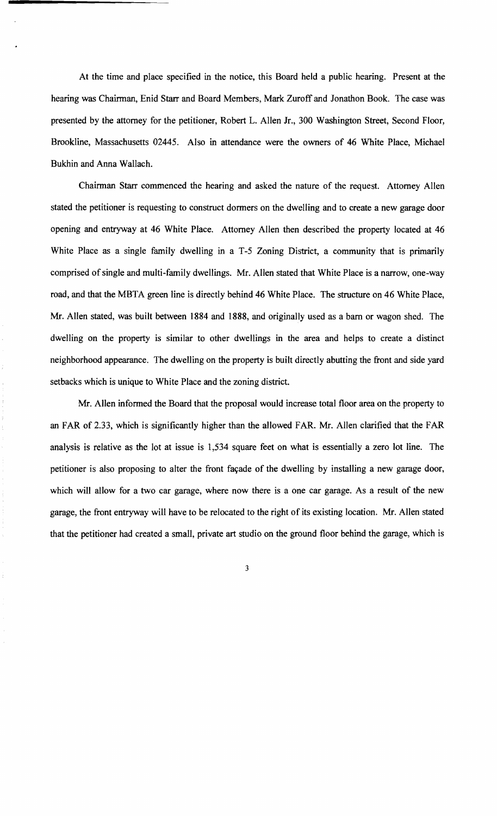At the time and place specified in the notice, this Board held a public hearing. Present at the hearing was Chairman, Enid Starr and Board Members, Mark Zuroff and Jonathon Book. The case was presented by the attorney for the petitioner, Robert L. Allen Jr., 300 Washington Street, Second Floor, Brookline, Massachusetts 02445. Also in attendance were the owners of 46 White Place, Michael Bukhin and Anna Wallach.

Chairman Starr commenced the hearing and asked the nature of the request. Attorney Allen stated the petitioner is requesting to construct dormers on the dwelling and to create a new garage door opening and entryway at 46 White Place. Attorney Allen then described the property located at 46 White Place as a single family dwelling in a T-5 Zoning District, a community that is primarily comprised of single and multi-family dwellings. Mr. Allen stated that White Place is a narrow, one-way road, and that the MBTA green line is directly behind 46 White Place. The structure on 46 White Place, Mr. Allen stated, was built between 1884 and 1888, and originally used as a barn or wagon shed. The dwelling on the property is similar to other dwellings in the area and helps to create a distinct neighborhood appearance. The dwelling on the property is built directly abutting the front and side yard setbacks which is unique to White Place and the zoning district.

Mr. Allen informed the Board that the proposal would increase total floor area on the property to an FAR of 2.33, which is significantly higher than the allowed FAR. Mr. Allen clarified that the FAR analysis is relative as the lot at issue is 1,534 square feet on what is essentially a zero lot line. The petitioner is also proposing to alter the front façade of the dwelling by installing a new garage door, which will allow for a two car garage, where now there is a one car garage. As a result of the new garage, the front entryway will have to be relocated to the right of its existing location. Mr. Allen stated that the petitioner had created a small, private art studio on the ground floor behind the garage, which is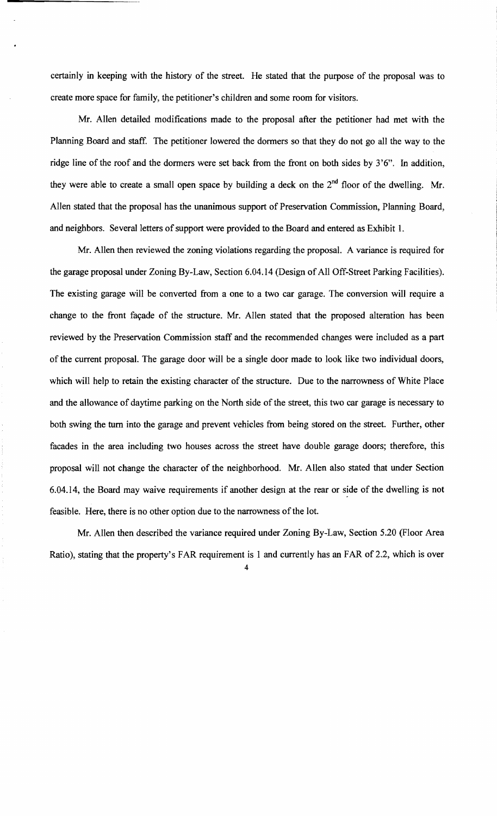certainly in keeping with the history of the street. He stated that the purpose of the proposal was to create more space for family, the petitioner's children and some room for visitors.

Mr. Allen detailed modifications made to the proposal after the petitioner had met with the Planning Board and staff. The petitioner lowered the dormers so that they do not go all the way to the ridge line of the roof and the dormers were set back from the front on both sides by 3'6". In addition, they were able to create a small open space by building a deck on the  $2<sup>nd</sup>$  floor of the dwelling. Mr. Allen stated that the proposal has the unanimous support of Preservation Commission, Planning Board, and neighbors. Several letters of support were provided to the Board and entered as Exhibit 1.

Mr. Allen then reviewed the zoning violations regarding the proposal. A variance is required for the garage proposal under Zoning By-Law, Section 6.04.14 (Design of All Off-Street Parking Facilities). The existing garage will be converted from a one to a two car garage. The conversion will require a change to the front façade of the structure. Mr. Allen stated that the proposed alteration has been reviewed by the Preservation Commission staff and the recommended changes were included as a part of the current proposal. The garage door will be a single door made to look like two individual doors, which will help to retain the existing character of the structure. Due to the narrowness of White Place and the allowance of daytime parking on the North side of the street, this two car garage is necessary to both swing the turn into the garage and prevent vehicles from being stored on the street. Further, other facades in the area including two houses across the street have double garage doors; therefore, this proposal will not change the character of the neighborhood. Mr. Allen also stated that under Section 6.04.14, the Board may waive requirements if another design at the rear or side of the dwelling is not feasible. Here, there is no other option due to the narrowness of the lot.

Mr. Allen then described the variance required under Zoning By-Law, Section 5.20 (Floor Area Ratio), stating that the property's FAR requirement is 1 and currently has an FAR of 2.2, which is over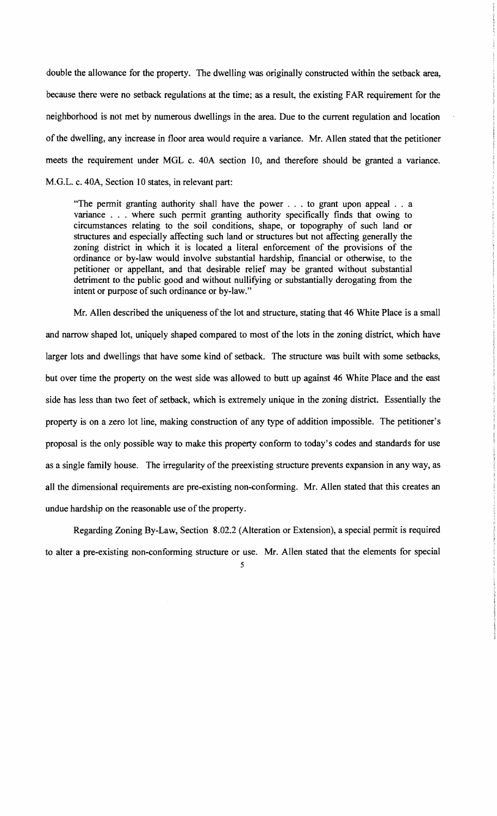double the allowance for the property. The dwelling was originally constructed within the setback area, because there were no setback regulations at the time; as a result, the existing FAR requirement for the neighborhood is not met by numerous dwellings in the area. Due to the current regulation and location of the dwelling, any increase in floor area would require a variance. Mr. Allen stated that the petitioner meets the requirement under MOL c. 40A section 10, and therefore should be granted a variance. M.O.L. c. 40A, Section 10 states, in relevant part:

"The permit granting authority shall have the power . . . to grant upon appeal . . a variance . . . where such permit granting authority specifically finds that owing to circumstances relating to the soil conditions, shape, or topography of such land or structures and especially affecting such land or structures but not affecting generally the zoning district in which it is located a literal enforcement of the provisions of the ordinance or by-law would involve substantial hardship, fmancial or otherwise, to the petitioner or appellant, and that desirable relief may be granted without substantial detriment to the public good and without nullifying or substantially derogating from the intent or purpose of such ordinance or by-law."

Mr. Allen described the uniqueness of the lot and structure, stating that 46 White Place is a small and narrow shaped lot, uniquely shaped compared to most of the lots in the zoning district, which have larger lots and dwellings that have some kind of setback. The structure was built with some setbacks, but over time the property on the west side was allowed to butt up against 46 White Place and the east side has less than two feet of setback, which is extremely unique in the zoning district. Essentially the property is on a zero lot line, making construction of any type of addition impossible. The petitioner's proposal is the only possible way to make this property conform to today's codes and standards for use as a single family house. The irregularity of the preexisting structure prevents expansion in any way, as all the dimensional requirements are pre-existing non-conforming. Mr. Allen stated that this creates an undue hardship on the reasonable use of the property.

Regarding Zoning By-Law, Section 8.02.2 (Alteration or Extension), a special permit is required to alter a pre-existing non-conforming structure or use. Mr. Allen stated that the elements for special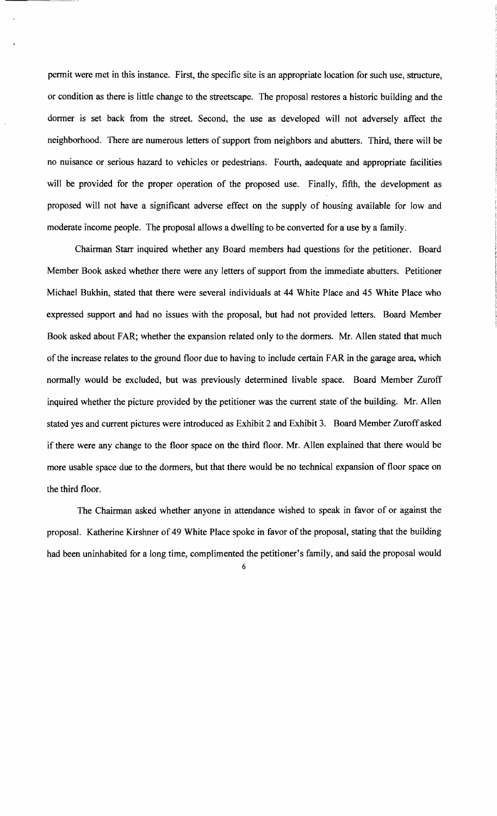permit were met in this instance. First, the specific site is an appropriate location for such use, structure, or condition as there is little change to the streetscape. The proposal restores a historic building and the dormer is set back from the street. Second, the use as developed will not adversely affect the neighborhood. There are numerous letters of support from neighbors and abutters. Third, there will be no nuisance or serious hazard to vehicles or pedestrians. Fourth, aadequate and appropriate facilities will be provided for the proper operation of the proposed use. Finally, fifth, the development as proposed will not have a significant adverse effect on the supply of housing available for low and moderate income people. The proposal allows a dwelling to be converted for a use by a family.

Chairman Starr inquired whether any Board members had questions for the petitioner. Board Member Book asked whether there were any letters of support from the immediate abutters. Petitioner Michael Bukhin, stated that there were several individuals at 44 White Place and 45 White Place who expressed support and had no issues with the proposal, but had not provided letters. Board Member Book asked about FAR; whether the expansion related only to the dormers. Mr. Allen stated that much of the increase relates to the ground floor due to having to include certain FAR in the garage area, which normally would be excluded, but was previously determined livable space. Board Member Zuroff inquired whether the picture provided by the petitioner was the current state of the building. Mr. Allen stated yes and current pictures were introduced as Exhibit 2 and Exhibit 3. Board Member Zuroffasked if there were any change to the floor space on the third floor. Mr. Allen explained that there would be more usable space due to the dormers, but that there would be no technical expansion of floor space on the third floor.

The Chairman asked whether anyone in attendance wished to speak in favor of or against the proposal. Katherine Kirshner of 49 White Place spoke in favor of the proposal, stating that the building had been uninhabited for a long time, complimented the petitioner's family, and said the proposal would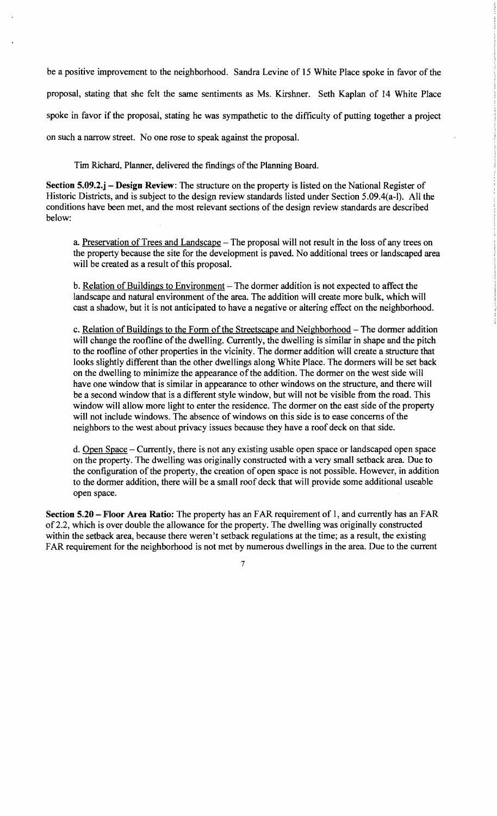be a positive improvement to the neighborhood. Sandra Levine of 15 White Place spoke in favor of the proposal, stating that she felt the same sentiments as Ms. Kirshner. Seth Kaplan of 14 White Place spoke in favor if the proposal, stating he was sympathetic to the difficulty of putting together a project on such a narrow street. No one rose to speak against the proposal.

Tim Richard, Planner, delivered the findings of the Planning Board.

Section 5.09.2.j – Design Review: The structure on the property is listed on the National Register of Historic Districts, and is subject to the design review standards listed under Section 5.09.4(a-l). All the conditions have been met, and the most relevant sections of the design review standards are described below:

a. Preservation of Trees and Landscape - The proposal will not result in the loss of any trees on the property because the site for the development is paved. No additional trees or landscaped area will be created as a result of this proposal.

b. Relation of Buildings to Environment – The dormer addition is not expected to affect the landscape and natural environment of the area. The addition will create more bulk, which will cast a shadow, but it is not anticipated to have a negative or altering effect on the neighborhood.

c. Relation of Buildings to the Form of the Streetscape and Neighborhood – The dormer addition will change the roofline of the dwelling. Currently, the dwelling is similar in shape and the pitch to the roofline of other properties in the vicinity. The dormer addition will create a structure that looks slightly different than the other dwellings along White Place. The dormers will be set back on the dwelling to minimize the appearance ofthe addition. The dormer on the west side will have one window that is similar in appearance to other windows on the structure, and there will be a second window that is a different style window, but will not be visible from the road. This window will allow more light to enter the residence. The dormer on the east side of the property will not include windows. The absence of windows on this side is to ease concerns of the neighbors to the west about privacy issues because they have a roof deck on that side.

d. Open Space - Currently, there is not any existing usable open space or landscaped open space on the property. The dwelling was originally constructed with a very small setback area. Due to the configuration of the property, the creation of open space is not possible. However, in addition to the dormer addition, there will be a small roof deck that will provide some additional useable open space.

Section 5.20 – Floor Area Ratio: The property has an FAR requirement of 1, and currently has an FAR of2.2, which is over double the allowance for the property. The dwelling was originally constructed within the setback area, because there weren't setback regulations at the time; as a result, the existing FAR requirement for the neighborhood is not met by numerous dwellings in the area. Due to the current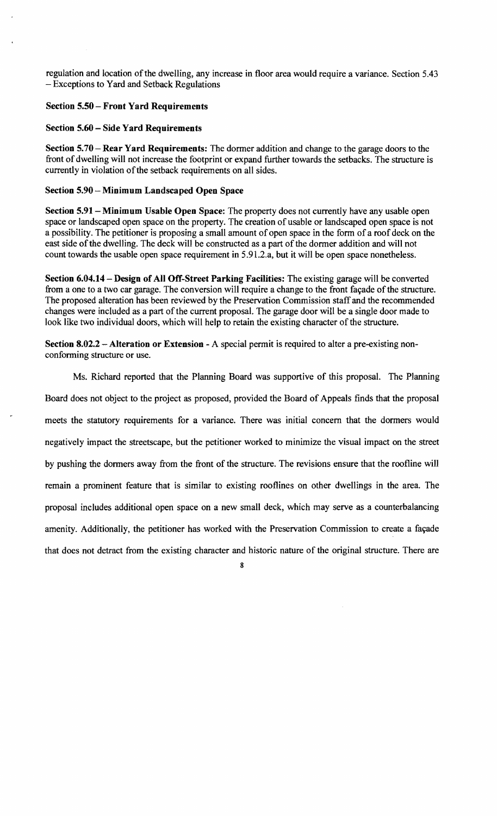regulation and location ofthe dwelling, any increase in floor area would require a variance. Section 5.43 - Exceptions to Yard and Setback Regulations

## Section 5.50 - Front Yard Requirements

## Section 5.60 - Side Yard Requirements

Section  $5.70 -$ Rear Yard Requirements: The dormer addition and change to the garage doors to the front of dwelling will not increase the footprint or expand further towards the setbacks. The structure is currently in violation of the setback requirements on all sides.

## Section 5.90 – Minimum Landscaped Open Space

Section 5.91 - Minimum Usable Open Space: The property does not currently have any usable open space or landscaped open space on the property. The creation of usable or landscaped open space is not a possibility. The petitioner is proposing a small amount of open space in the form of a roof deck on the east side of the dwelling. The deck will be constructed as a part of the dormer addition and will not count towards the usable open space requirement in 5.91.2.a, but it will be open space nonetheless.

Section 6.04.14 - Design of All Off-Street Parking Facilities: The existing garage will be converted from a one to a two car garage. The conversion will require a change to the front facade of the structure. The proposed alteration has been reviewed by the Preservation Commission staffand the recommended changes were included as a part of the current proposal. The garage door will be a single door made to look like two individual doors, which will help to retain the existing character of the structure.

Section 8.02.2 - Alteration or Extension - A special permit is required to alter a pre-existing nonconforming structure or use.

Ms. Richard reported that the Planning Board was supportive of this proposal. The Planning Board does not object to the project as proposed, provided the Board of Appeals finds that the proposal meets the statutory requirements for a variance. There was initial concern that the dormers would negatively impact the streetscape, but the petitioner worked to minimize the visual impact on the street by pushing the dormers away from the front of the structure. The revisions ensure that the roofline will remain a prominent feature that is similar to existing rooflines on other dwellings in the area. The proposal includes additional open space on a new small deck, which may serve as a counterbalancing amenity. Additionally, the petitioner has worked with the Preservation Commission to create a fayade that does not detract from the existing character and historic nature of the original structure. There are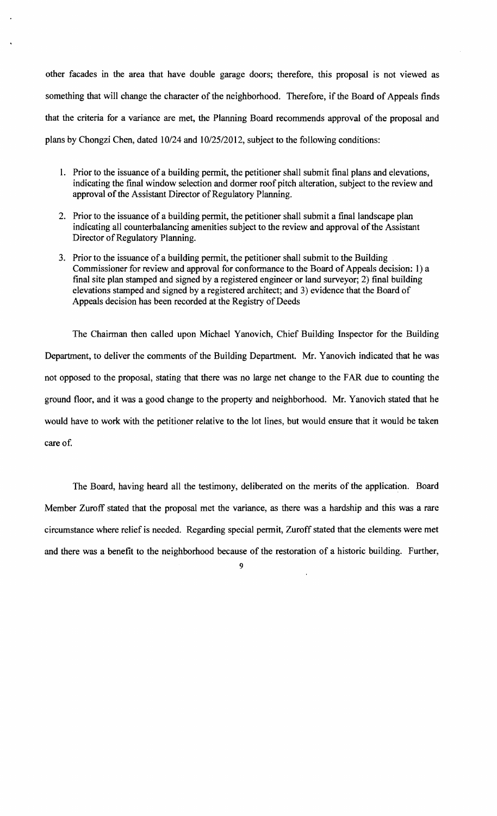other facades in the area that have double garage doors; therefore, this proposal is not viewed as something that will change the character of the neighborhood. Therefore, if the Board of Appeals finds that the criteria for a variance are met, the Planning Board recommends approval of the proposal and plans by Chongzi Chen, dated 10/24 and 10/25/2012, subject to the following conditions:

- 1. Prior to the issuance of a building permit, the petitioner shall submit final plans and elevations, indicating the fmal window selection and dormer roof pitch alteration, subject to the review and approval of the Assistant Director of Regulatory Planning.
- 2. Prior to the issuance of a building permit, the petitioner shall submit a final landscape plan indicating all counterbalancing amenities subject to the review and approval of the Assistant Director of Regulatory Planning.
- 3. Prior to the issuance of a building permit, the petitioner shall submit to the Building Commissioner for review and approval for conformance to the Board of Appeals decision: 1) a final site plan stamped and signed by a registered engineer or land surveyor; 2) final building elevations stamped and signed by a registered architect; and 3) evidence that the Board of Appeals decision has been recorded at the Registry of Deeds

The Chairman then called upon Michael Yanovich, Chief Building Inspector for the Building Department, to deliver the comments of the Building Department. Mr. Yanovich indicated that he was not opposed to the proposal, stating that there was no large net change to the FAR due to counting the ground floor, and it was a good change to the property and neighborhood. Mr. Yanovich stated that he would have to work with the petitioner relative to the lot lines, but would ensure that it would be taken care of.

The Board, having heard all the testimony, deliberated on the merits of the application. Board Member Zuroff stated that the proposal met the variance, as there was a hardship and this was a rare circumstance where relief is needed. Regarding special permit, Zuroff stated that the elements were met and there was a benefit to the neighborhood because of the restoration of a historic building. Further,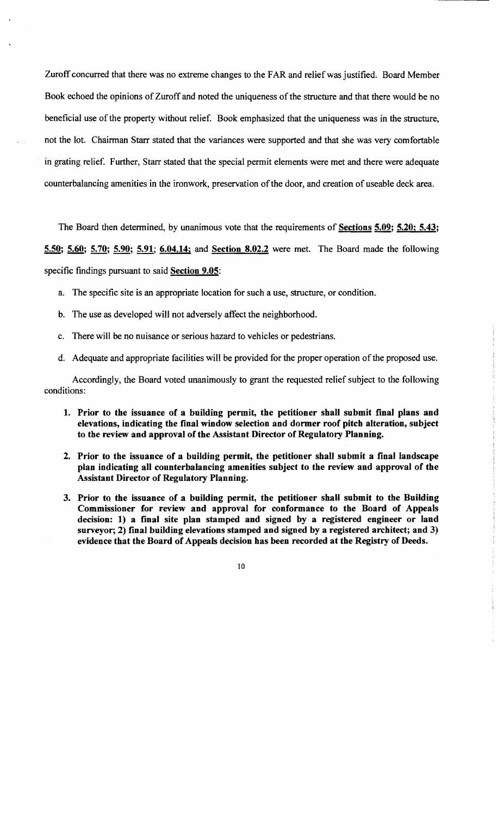Zuroff concurred that there was no extreme changes to the FAR and relief was justified. Board Member Book echoed the opinions of Zuroff and noted the uniqueness of the structure and that there would be no beneficial use of the property without relief. Book emphasized that the uniqueness was in the structure, not the lot. Chairman Starr stated that the variances were supported and that she was very comfortable in grating relief. Further, Starr stated that the special permit elements were met and there were adequate counterbalancing amenities in the ironwork, preservation of the door, and creation of useable deck area.

The Board then determined, by unanimous vote that the requirements of **Sections 5.09; 5.20; 5.43;** 

5.50; 5.60; 5.70; 5.90; 5.91; 6.04.14; and Section 8.02.2 were met. The Board made the following

specific findings pursuant to said Section 9.05:

- a. The specific site is an appropriate location for such a use, structure, or condition.
- b. The use as developed will not adversely affect the neighborhood.
- c. There will be no nuisance or serious hazard to vehicles or pedestrians.
- d. Adequate and appropriate facilities will be provided for the proper operation of the proposed use.

Accordingly, the Board voted unanimously to grant the requested relief subject to the following conditions:

- 1. Prior to the issuance of a building permit, the petitioner shall submit final plans and elevations, indicating the final window selection and dormer roof pitch alteration, subject to the review and approval of the Assistant Director of Regulatory Planning.
- 2. Prior to the issuance of a building permit, the petitioner shall submit a final landscape plan indicating all counterbalancing amenities subject to the review and approval of the Assistant Director of Regulatory Planning.
- 3. Prior to the issuance of a building permit, the petitioner shall submit to the Building Commissioner for review and approval for conformance to the Board of Appeals decision: 1) a final site plan stamped and signed by a registered engineer or land surveyor; 2) final building elevations stamped and signed by a registered architect; and 3) evidence that the Board of Appeals decision has been recorded at the Registry of Deeds.